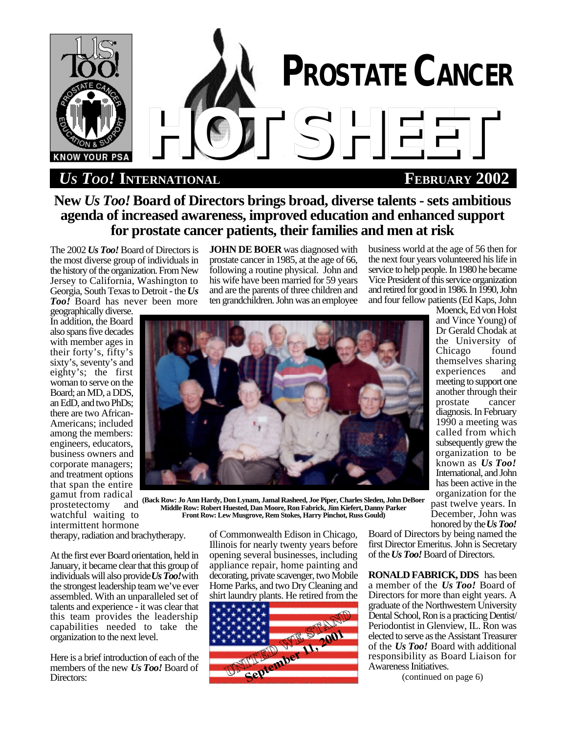

 $US$  *Too!* INTERNATIONAL

## **New** *Us Too!* **Board of Directors brings broad, diverse talents - sets ambitious agenda of increased awareness, improved education and enhanced support for prostate cancer patients, their families and men at risk**

The 2002 *Us Too!* Board of Directors is the most diverse group of individuals in the history of the organization. From New Jersey to California, Washington to Georgia, South Texas to Detroit - the *Us Too!* Board has never been more

**JOHN DE BOER** was diagnosed with prostate cancer in 1985, at the age of 66, following a routine physical. John and his wife have been married for 59 years and are the parents of three children and ten grandchildren. John was an employee

business world at the age of 56 then for the next four years volunteered his life in service to help people. In 1980 he became Vice President of this service organization and retired for good in 1986. In 1990, John and four fellow patients (Ed Kaps, John

geographically diverse. In addition, the Board also spans five decades with member ages in their forty's, fifty's sixty's, seventy's and eighty's; the first woman to serve on the Board; an MD, a DDS, an EdD, and two PhDs; there are two African-Americans; included among the members: engineers, educators, business owners and corporate managers; and treatment options that span the entire gamut from radical<br>prostetectomy and

 $prosetector$ watchful waiting to intermittent hormone



the University of<br>Chicago found Chicago themselves sharing experiences and meeting to support one another through their<br>prostate cancer prostate diagnosis. In February 1990 a meeting was called from which subsequently grew the organization to be known as *Us Too!* International, and John has been active in the organization for the past twelve years. In December, John was honored by the *Us Too!*

Moenck, Ed von Holst and Vince Young) of Dr Gerald Chodak at

**(Back Row: Jo Ann Hardy, Don Lynam, Jamal Rasheed, Joe Piper, Charles Sleden, John DeBoer Middle Row: Robert Huested, Dan Moore, Ron Fabrick, Jim Kiefert, Danny Parker Front Row: Lew Musgrove, Rem Stokes, Harry Pinchot, Russ Gould)**

therapy, radiation and brachytherapy.

At the first ever Board orientation, held in January, it became clear that this group of individuals will also provide *Us Too!* with the strongest leadership team we've ever assembled. With an unparalleled set of talents and experience - it was clear that this team provides the leadership capabilities needed to take the organization to the next level.

Here is a brief introduction of each of the members of the new *Us Too!* Board of Directors:

of Commonwealth Edison in Chicago, Illinois for nearly twenty years before opening several businesses, including appliance repair, home painting and decorating, private scavenger, two Mobile Home Parks, and two Dry Cleaning and shirt laundry plants. He retired from the



Board of Directors by being named the first Director Emeritus. John is Secretary of the *Us Too!* Board of Directors.

**RONALD FABRICK, DDS** has been a member of the *Us Too!* Board of Directors for more than eight years. A graduate of the Northwestern University Dental School, Ron is a practicing Dentist/ Periodontist in Glenview, IL. Ron was elected to serve as the Assistant Treasurer of the *Us Too!* Board with additional responsibility as Board Liaison for Awareness Initiatives.

(continued on page 6)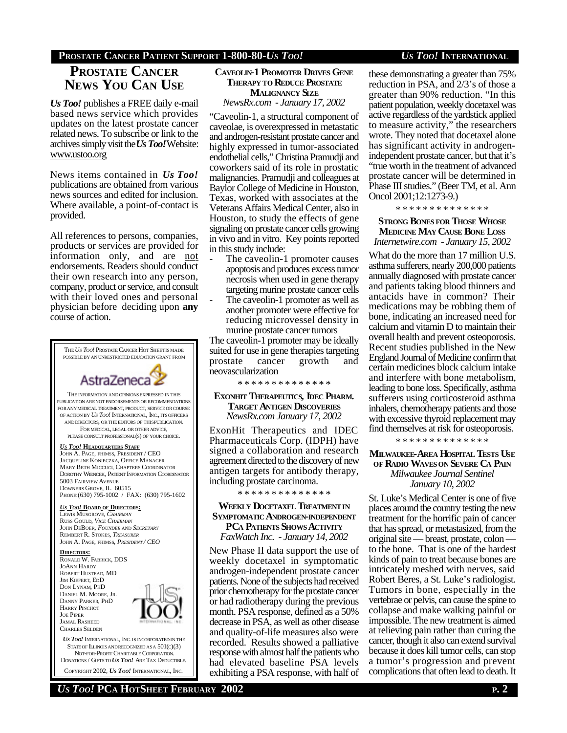### **PROSTATE CANCER PATIENT SUPPORT 1-800-80-***US TOO! US TOO!* **INTERNATIONAL**

### **PROSTATE CANCER NEWS YOU CAN USE**

*Us Too!* publishes a FREE daily e-mail based news service which provides updates on the latest prostate cancer related news. To subscribe or link to the archives simply visit the *Us Too!* Website: www.ustoo.org

News items contained in *Us Too!* publications are obtained from various news sources and edited for inclusion. Where available, a point-of-contact is provided.

All references to persons, companies, products or services are provided for information only, and are not endorsements. Readers should conduct their own research into any person, company, product or service, and consult with their loved ones and personal physician before deciding upon **any** course of action.



DONATIONS / GIFTSTO *US TOO!* ARE TAX DEDUCTIBLE. COPYRIGHT 2002, *US TOO!* INTERNATIONAL, INC.

### **CAVEOLIN-1 PROMOTER DRIVES GENE THERAPY TO REDUCE PROSTATE MALIGNANCY SIZE**

*NewsRx.com - January 17, 2002*

"Caveolin-1, a structural component of caveolae, is overexpressed in metastatic and androgen-resistant prostate cancer and highly expressed in tumor-associated endothelial cells," Christina Pramudji and coworkers said of its role in prostatic malignancies. Pramudji and colleagues at Baylor College of Medicine in Houston, Texas, worked with associates at the Veterans Affairs Medical Center, also in Houston, to study the effects of gene signaling on prostate cancer cells growing in vivo and in vitro. Key points reported in this study include:

- The caveolin-1 promoter causes apoptosis and produces excess tumor necrosis when used in gene therapy targeting murine prostate cancer cells
- The caveolin-1 promoter as well as another promoter were effective for reducing microvessel density in murine prostate cancer tumors

The caveolin-1 promoter may be ideally suited for use in gene therapies targeting prostate cancer growth and neovascularization

\* \* \* \* \* \* \* \* \* \* \* \* \* \*

### **EXONHIT THERAPEUTICS, IDEC PHARM. TARGET ANTIGEN DISCOVERIES** *NewsRx.com January 17, 2002*

ExonHit Therapeutics and IDEC Pharmaceuticals Corp. (IDPH) have signed a collaboration and research agreement directed to the discovery of new antigen targets for antibody therapy, including prostate carcinoma.

\* \* \* \* \* \* \* \* \* \* \* \* \* \*

### **WEEKLY DOCETAXEL TREATMENTIN SYMPTOMATIC ANDROGEN-INDEPENDENT PCA PATIENTS SHOWS ACTIVITY** *FaxWatch Inc. - January 14, 2002*

New Phase II data support the use of weekly docetaxel in symptomatic androgen-independent prostate cancer patients. None of the subjects had received prior chemotherapy for the prostate cancer or had radiotherapy during the previous month. PSA response, defined as a 50% decrease in PSA, as well as other disease and quality-of-life measures also were recorded. Results showed a palliative response with almost half the patients who had elevated baseline PSA levels exhibiting a PSA response, with half of

these demonstrating a greater than 75% reduction in PSA, and 2/3's of those a greater than 90% reduction. "In this patient population, weekly docetaxel was active regardless of the yardstick applied to measure activity," the researchers wrote. They noted that docetaxel alone has significant activity in androgenindependent prostate cancer, but that it's "true worth in the treatment of advanced prostate cancer will be determined in Phase III studies." (Beer TM, et al. Ann Oncol 2001;12:1273-9.)

\* \* \* \* \* \* \* \* \* \* \* \* \* \*

### **STRONG BONES FOR THOSE WHOSE MEDICINE MAY CAUSE BONE LOSS** *Internetwire.com - January 15, 2002*

What do the more than 17 million U.S. asthma sufferers, nearly 200,000 patients annually diagnosed with prostate cancer and patients taking blood thinners and antacids have in common? Their medications may be robbing them of bone, indicating an increased need for calcium and vitamin D to maintain their overall health and prevent osteoporosis. Recent studies published in the New England Journal of Medicine confirm that certain medicines block calcium intake and interfere with bone metabolism, leading to bone loss. Specifically, asthma sufferers using corticosteroid asthma inhalers, chemotherapy patients and those with excessive thyroid replacement may find themselves at risk for osteoporosis.

\* \* \* \* \* \* \* \* \* \* \* \* \* \*

**MILWAUKEE-AREA HOSPITAL TESTS USE OF RADIO WAVESON SEVERE CA PAIN** *Milwaukee Journal Sentinel January 10, 2002*

St. Luke's Medical Center is one of five places around the country testing the new treatment for the horrific pain of cancer that has spread, or metastasized, from the original site — breast, prostate, colon to the bone. That is one of the hardest kinds of pain to treat because bones are intricately meshed with nerves, said Robert Beres, a St. Luke's radiologist. Tumors in bone, especially in the vertebrae or pelvis, can cause the spine to collapse and make walking painful or impossible. The new treatment is aimed at relieving pain rather than curing the cancer, though it also can extend survival because it does kill tumor cells, can stop a tumor's progression and prevent complications that often lead to death. It

### *US TOO!* **PCA HOTSHEET FEBRUARY 2002 P. 2**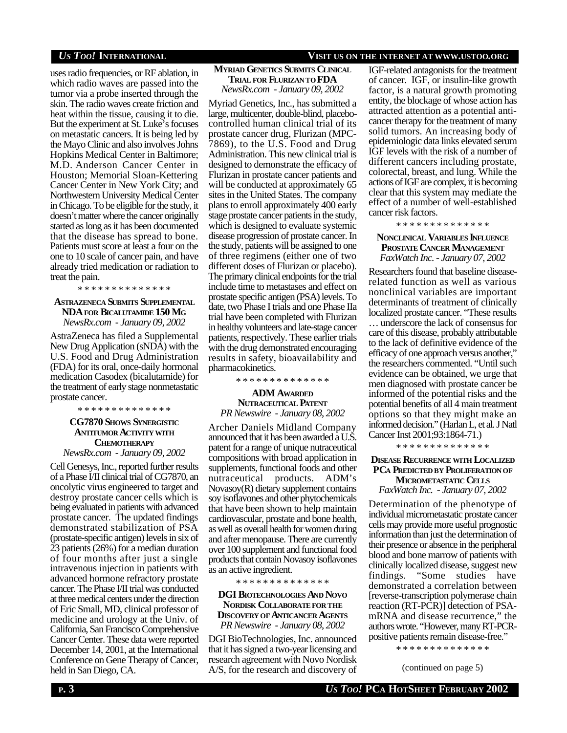### *US TOO!* **INTERNATIONAL VISIT US ON THE INTERNET AT WWW.USTOO.ORG**

uses radio frequencies, or RF ablation, in which radio waves are passed into the tumor via a probe inserted through the skin. The radio waves create friction and heat within the tissue, causing it to die. But the experiment at St. Luke's focuses on metastatic cancers. It is being led by the Mayo Clinic and also involves Johns Hopkins Medical Center in Baltimore; M.D. Anderson Cancer Center in Houston; Memorial Sloan-Kettering Cancer Center in New York City; and Northwestern University Medical Center in Chicago. To be eligible for the study, it doesn't matter where the cancer originally started as long as it has been documented that the disease has spread to bone. Patients must score at least a four on the one to 10 scale of cancer pain, and have already tried medication or radiation to treat the pain.

\* \* \* \* \* \* \* \* \* \* \* \* \* \*

#### **ASTRAZENECA SUBMITS SUPPLEMENTAL NDA FOR BICALUTAMIDE 150 MG** *NewsRx.com - January 09, 2002*

AstraZeneca has filed a Supplemental New Drug Application (sNDA) with the U.S. Food and Drug Administration (FDA) for its oral, once-daily hormonal medication Casodex (bicalutamide) for the treatment of early stage nonmetastatic prostate cancer.

\* \* \* \* \* \* \* \* \* \* \* \* \* \*

### **CG7870 SHOWS SYNERGISTIC ANTITUMOR ACTIVITYWITH CHEMOTHERAPY**

*NewsRx.com - January 09, 2002*

Cell Genesys, Inc., reported further results of a Phase I/II clinical trial of CG7870, an oncolytic virus engineered to target and destroy prostate cancer cells which is being evaluated in patients with advanced prostate cancer. The updated findings demonstrated stabilization of PSA (prostate-specific antigen) levels in six of 23 patients (26%) for a median duration of four months after just a single intravenous injection in patients with advanced hormone refractory prostate cancer. The Phase I/II trial was conducted at three medical centers under the direction of Eric Small, MD, clinical professor of medicine and urology at the Univ. of California, San Francisco Comprehensive Cancer Center. These data were reported December 14, 2001, at the International Conference on Gene Therapy of Cancer, held in San Diego, CA.

## **MYRIAD GENETICS SUBMITS CLINICAL**

### **TRIAL FOR FLURIZAN TO FDA** *NewsRx.com - January 09, 2002*

Myriad Genetics, Inc., has submitted a large, multicenter, double-blind, placebocontrolled human clinical trial of its prostate cancer drug, Flurizan (MPC-7869), to the U.S. Food and Drug Administration. This new clinical trial is designed to demonstrate the efficacy of Flurizan in prostate cancer patients and will be conducted at approximately 65 sites in the United States. The company plans to enroll approximately 400 early stage prostate cancer patients in the study, which is designed to evaluate systemic disease progression of prostate cancer. In the study, patients will be assigned to one of three regimens (either one of two different doses of Flurizan or placebo). The primary clinical endpoints for the trial include time to metastases and effect on prostate specific antigen (PSA) levels. To date, two Phase I trials and one Phase IIa trial have been completed with Flurizan in healthy volunteers and late-stage cancer patients, respectively. These earlier trials with the drug demonstrated encouraging results in safety, bioavailability and pharmacokinetics.

\* \* \* \* \* \* \* \* \* \* \* \* \* \*

### **ADM AWARDED NUTRACEUTICAL PATENT** *PR Newswire - January 08, 2002*

Archer Daniels Midland Company announced that it has been awarded a U.S. patent for a range of unique nutraceutical compositions with broad application in supplements, functional foods and other nutraceutical products. ADM's Novasoy(R) dietary supplement contains soy isoflavones and other phytochemicals that have been shown to help maintain cardiovascular, prostate and bone health, as well as overall health for women during and after menopause. There are currently over 100 supplement and functional food products that contain Novasoy isoflavones as an active ingredient.

\* \* \* \* \* \* \* \* \* \* \* \* \* \*

### **DGI BIOTECHNOLOGIES AND NOVO NORDISK COLLABORATEFOR THE DISCOVERYOF ANTICANCER AGENTS** *PR Newswire - January 08, 2002*

DGI BioTechnologies, Inc. announced that it has signed a two-year licensing and research agreement with Novo Nordisk A/S, for the research and discovery of IGF-related antagonists for the treatment of cancer. IGF, or insulin-like growth factor, is a natural growth promoting entity, the blockage of whose action has attracted attention as a potential anticancer therapy for the treatment of many solid tumors. An increasing body of epidemiologic data links elevated serum IGF levels with the risk of a number of different cancers including prostate, colorectal, breast, and lung. While the actions of IGF are complex, it is becoming clear that this system may mediate the effect of a number of well-established cancer risk factors.

\* \* \* \* \* \* \* \* \* \* \* \* \* \*

### **NONCLINICAL VARIABLES INFLUENCE PROSTATE CANCER MANAGEMENT** *FaxWatch Inc. - January 07, 2002*

Researchers found that baseline diseaserelated function as well as various nonclinical variables are important determinants of treatment of clinically localized prostate cancer. "These results … underscore the lack of consensus for care of this disease, probably attributable to the lack of definitive evidence of the efficacy of one approach versus another," the researchers commented. "Until such evidence can be obtained, we urge that men diagnosed with prostate cancer be informed of the potential risks and the potential benefits of all 4 main treatment options so that they might make an informed decision." (Harlan L, et al. J Natl Cancer Inst 2001;93:1864-71.)

\* \* \* \* \* \* \* \* \* \* \* \* \* \*

#### **DISEASE RECURRENCE WITH LOCALIZED PCA PREDICTED BY PROLIFERATIONOF MICROMETASTATIC CELLS**

*FaxWatch Inc. - January 07, 2002*

Determination of the phenotype of individual micrometastatic prostate cancer cells may provide more useful prognostic information than just the determination of their presence or absence in the peripheral blood and bone marrow of patients with clinically localized disease, suggest new findings. "Some studies have demonstrated a correlation between [reverse-transcription polymerase chain reaction (RT-PCR)] detection of PSAmRNA and disease recurrence," the authors wrote. "However, many RT-PCRpositive patients remain disease-free."

\* \* \* \* \* \* \* \* \* \* \* \* \* \*

(continued on page 5)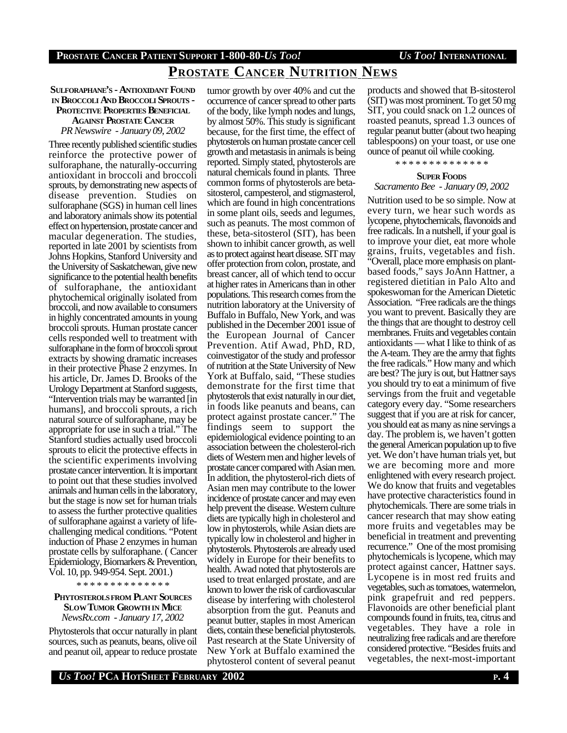## **PROSTATE CANCER NUTRITION NEWS**

### **SULFORAPHANE'S - ANTIOXIDANT FOUND IN BROCCOLI AND BROCCOLI SPROUTS - PROTECTIVE PROPERTIES BENEFICIAL AGAINST PROSTATE CANCER** *PR Newswire - January 09, 2002*

Three recently published scientific studies reinforce the protective power of sulforaphane, the naturally-occurring antioxidant in broccoli and broccoli sprouts, by demonstrating new aspects of disease prevention. Studies on sulforaphane (SGS) in human cell lines and laboratory animals show its potential effect on hypertension, prostate cancer and macular degeneration. The studies, reported in late 2001 by scientists from Johns Hopkins, Stanford University and the University of Saskatchewan, give new significance to the potential health benefits of sulforaphane, the antioxidant phytochemical originally isolated from broccoli, and now available to consumers in highly concentrated amounts in young broccoli sprouts. Human prostate cancer cells responded well to treatment with sulforaphane in the form of broccoli sprout extracts by showing dramatic increases in their protective Phase 2 enzymes. In his article, Dr. James D. Brooks of the Urology Department at Stanford suggests, "Intervention trials may be warranted [in humans], and broccoli sprouts, a rich natural source of sulforaphane, may be appropriate for use in such a trial." The Stanford studies actually used broccoli sprouts to elicit the protective effects in the scientific experiments involving prostate cancer intervention. It is important to point out that these studies involved animals and human cells in the laboratory, but the stage is now set for human trials to assess the further protective qualities of sulforaphane against a variety of lifechallenging medical conditions. "Potent induction of Phase 2 enzymes in human prostate cells by sulforaphane. ( Cancer Epidemiology, Biomarkers & Prevention, Vol. 10, pp. 949-954. Sept. 2001.)

\* \* \* \* \* \* \* \* \* \* \* \* \* \*

### **PHYTOSTEROLSFROM PLANT SOURCES SLOW TUMOR GROWTH IN MICE** *NewsRx.com - January 17, 2002*

Phytosterols that occur naturally in plant sources, such as peanuts, beans, olive oil and peanut oil, appear to reduce prostate

tumor growth by over 40% and cut the occurrence of cancer spread to other parts of the body, like lymph nodes and lungs, by almost 50%. This study is significant because, for the first time, the effect of phytosterols on human prostate cancer cell growth and metastasis in animals is being reported. Simply stated, phytosterols are natural chemicals found in plants. Three common forms of phytosterols are betasitosterol, campesterol, and stigmasterol, which are found in high concentrations in some plant oils, seeds and legumes, such as peanuts. The most common of these, beta-sitosterol (SIT), has been shown to inhibit cancer growth, as well as to protect against heart disease. SIT may offer protection from colon, prostate, and breast cancer, all of which tend to occur at higher rates in Americans than in other populations. This research comes from the nutrition laboratory at the University of Buffalo in Buffalo, New York, and was published in the December 2001 issue of the European Journal of Cancer Prevention. Atif Awad, PhD, RD, coinvestigator of the study and professor of nutrition at the State University of New York at Buffalo, said, "These studies demonstrate for the first time that phytosterols that exist naturally in our diet, in foods like peanuts and beans, can protect against prostate cancer." The findings seem to support the epidemiological evidence pointing to an association between the cholesterol-rich diets of Western men and higher levels of prostate cancer compared with Asian men. In addition, the phytosterol-rich diets of Asian men may contribute to the lower incidence of prostate cancer and may even help prevent the disease. Western culture diets are typically high in cholesterol and low in phytosterols, while Asian diets are typically low in cholesterol and higher in phytosterols. Phytosterols are already used widely in Europe for their benefits to health. Awad noted that phytosterols are used to treat enlarged prostate, and are known to lower the risk of cardiovascular disease by interfering with cholesterol absorption from the gut. Peanuts and peanut butter, staples in most American diets, contain these beneficial phytosterols. Past research at the State University of New York at Buffalo examined the phytosterol content of several peanut

products and showed that B-sitosterol (SIT) was most prominent. To get 50 mg SIT, you could snack on 1.2 ounces of roasted peanuts, spread 1.3 ounces of regular peanut butter (about two heaping tablespoons) on your toast, or use one ounce of peanut oil while cooking.

\* \* \* \* \* \* \* \* \* \* \* \* \* \*

### **SUPER FOODS**

### *Sacramento Bee - January 09, 2002*

Nutrition used to be so simple. Now at every turn, we hear such words as lycopene, phytochemicals, flavonoids and free radicals. In a nutshell, if your goal is to improve your diet, eat more whole grains, fruits, vegetables and fish. "Overall, place more emphasis on plantbased foods," says JoAnn Hattner, a registered dietitian in Palo Alto and spokeswoman for the American Dietetic Association. "Free radicals are the things you want to prevent. Basically they are the things that are thought to destroy cell membranes. Fruits and vegetables contain antioxidants — what I like to think of as the A-team. They are the army that fights the free radicals." How many and which are best? The jury is out, but Hattner says you should try to eat a minimum of five servings from the fruit and vegetable category every day. "Some researchers suggest that if you are at risk for cancer, you should eat as many as nine servings a day. The problem is, we haven't gotten the general American population up to five yet. We don't have human trials yet, but we are becoming more and more enlightened with every research project. We do know that fruits and vegetables have protective characteristics found in phytochemicals. There are some trials in cancer research that may show eating more fruits and vegetables may be beneficial in treatment and preventing recurrence." One of the most promising phytochemicals is lycopene, which may protect against cancer, Hattner says. Lycopene is in most red fruits and vegetables, such as tomatoes, watermelon, pink grapefruit and red peppers. Flavonoids are other beneficial plant compounds found in fruits, tea, citrus and vegetables. They have a role in neutralizing free radicals and are therefore considered protective. "Besides fruits and vegetables, the next-most-important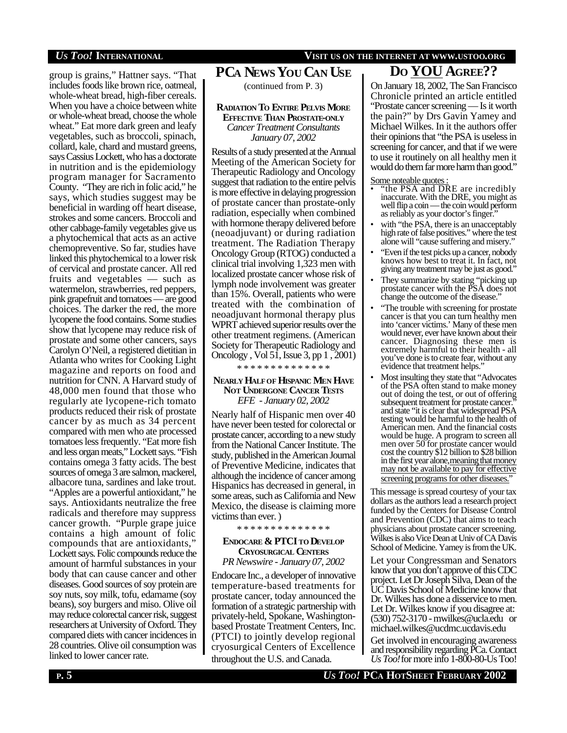### *US TOO!* **INTERNATIONAL VISIT US ON THE INTERNET AT WWW.USTOO.ORG**

group is grains," Hattner says. "That includes foods like brown rice, oatmeal, whole-wheat bread, high-fiber cereals. When you have a choice between white or whole-wheat bread, choose the whole wheat." Eat more dark green and leafy vegetables, such as broccoli, spinach, collard, kale, chard and mustard greens, says Cassius Lockett, who has a doctorate in nutrition and is the epidemiology program manager for Sacramento County. "They are rich in folic acid," he says, which studies suggest may be beneficial in warding off heart disease, strokes and some cancers. Broccoli and other cabbage-family vegetables give us a phytochemical that acts as an active chemopreventive. So far, studies have linked this phytochemical to a lower risk of cervical and prostate cancer. All red fruits and vegetables — such as watermelon, strawberries, red peppers, pink grapefruit and tomatoes — are good choices. The darker the red, the more lycopene the food contains. Some studies show that lycopene may reduce risk of prostate and some other cancers, says Carolyn O'Neil, a registered dietitian in Atlanta who writes for Cooking Light magazine and reports on food and nutrition for CNN. A Harvard study of 48,000 men found that those who regularly ate lycopene-rich tomato products reduced their risk of prostate cancer by as much as 34 percent compared with men who ate processed tomatoes less frequently. "Eat more fish and less organ meats," Lockett says. "Fish contains omega 3 fatty acids. The best sources of omega 3 are salmon, mackerel, albacore tuna, sardines and lake trout. "Apples are a powerful antioxidant," he says. Antioxidants neutralize the free radicals and therefore may suppress cancer growth. "Purple grape juice contains a high amount of folic compounds that are antioxidants," Lockett says. Folic compounds reduce the amount of harmful substances in your body that can cause cancer and other diseases. Good sources of soy protein are soy nuts, soy milk, tofu, edamame (soy beans), soy burgers and miso. Olive oil may reduce colorectal cancer risk, suggest researchers at University of Oxford. They compared diets with cancer incidences in 28 countries. Olive oil consumption was linked to lower cancer rate.

# **PCA NEWS YOU CAN USE**

### **RADIATION TO ENTIRE PELVIS MORE EFFECTIVE THAN PROSTATE-ONLY** *Cancer Treatment Consultants January 07, 2002*

Results of a study presented at the Annual Meeting of the American Society for Therapeutic Radiology and Oncology suggest that radiation to the entire pelvis is more effective in delaying progression of prostate cancer than prostate-only radiation, especially when combined with hormone therapy delivered before (neoadjuvant) or during radiation treatment. The Radiation Therapy Oncology Group (RTOG) conducted a clinical trial involving 1,323 men with localized prostate cancer whose risk of lymph node involvement was greater than 15%. Overall, patients who were treated with the combination of neoadjuvant hormonal therapy plus WPRT achieved superior results over the other treatment regimens. (American Society for Therapeutic Radiology and Oncology , Vol 51, Issue 3, pp 1 , 2001) \* \* \* \* \* \* \* \* \* \* \* \* \* \*

### **NEARLY HALFOF HISPANIC MEN HAVE NOT UNDERGONE CANCER TESTS**

*EFE - January 02, 2002*

Nearly half of Hispanic men over 40 have never been tested for colorectal or prostate cancer, according to a new study from the National Cancer Institute. The study, published in the American Journal of Preventive Medicine, indicates that although the incidence of cancer among Hispanics has decreased in general, in some areas, such as California and New Mexico, the disease is claiming more victims than ever. )

\* \* \* \* \* \* \* \* \* \* \* \* \* \*

#### **ENDOCARE & PTCI TO DEVELOP CRYOSURGICAL CENTERS** *PR Newswire - January 07, 2002*

Endocare Inc., a developer of innovative temperature-based treatments for prostate cancer, today announced the formation of a strategic partnership with privately-held, Spokane, Washingtonbased Prostate Treatment Centers, Inc. (PTCI) to jointly develop regional cryosurgical Centers of Excellence throughout the U.S. and Canada.

## **DO YOU AGREE??**

(continued from P. 3) On January 18, 2002, The San Francisco Chronicle printed an article entitled "Prostate cancer screening — Is it worth the pain?" by Drs Gavin Yamey and Michael Wilkes. In it the authors offer their opinions that "the PSA is useless in screening for cancer, and that if we were to use it routinely on all healthy men it would do them far more harm than good."

Some noteable quotes:

- "the PSA and DRE are incredibly inaccurate. With the DRE, you might as well flip a coin — the coin would perform as reliably as your doctor's finger."
- with "the PSA, there is an unacceptably high rate of false positives." where the test alone will "cause suffering and misery."
- "Even if the test picks up a cancer, nobody knows how best to treat it. In fact, not giving any treatment may be just as good."
- They summarize by stating "picking up prostate cancer with the PSA does not change the outcome of the disease."
- "The trouble with screening for prostate cancer is that you can turn healthy men into 'cancer victims.' Many of these men would never, ever have known about their cancer. Diagnosing these men is extremely harmful to their health - all you've done is to create fear, without any evidence that treatment helps."
- Most insulting they state that "Advocates" of the PSA often stand to make money out of doing the test, or out of offering subsequent treatment for prostate cancer." and state "it is clear that widespread PSA testing would be harmful to the health of American men. And the financial costs would be huge. A program to screen all men over 50 for prostate cancer would cost the country \$12 billion to \$28 billion in the first year alone, meaning that money may not be available to pay for effective screening programs for other diseases.

This message is spread courtesy of your tax dollars as the authors lead a research project funded by the Centers for Disease Control and Prevention (CDC) that aims to teach physicians about prostate cancer screening. Wilkes is also Vice Dean at Univ of CA Davis School of Medicine. Yamey is from the UK.

Let your Congressman and Senators know that you don't approve of this CDC project. Let Dr Joseph Silva, Dean of the UC Davis School of Medicine know that Dr. Wilkes has done a disservice to men. Let Dr. Wilkes know if you disagree at: (530) 752-3170 - mwilkes@ucla.edu or michael.wilkes@ucdmc.ucdavis.edu

Get involved in encouraging awareness and responsibility regarding PCa. Contact *Us Too!* for more info 1-800-80-Us Too!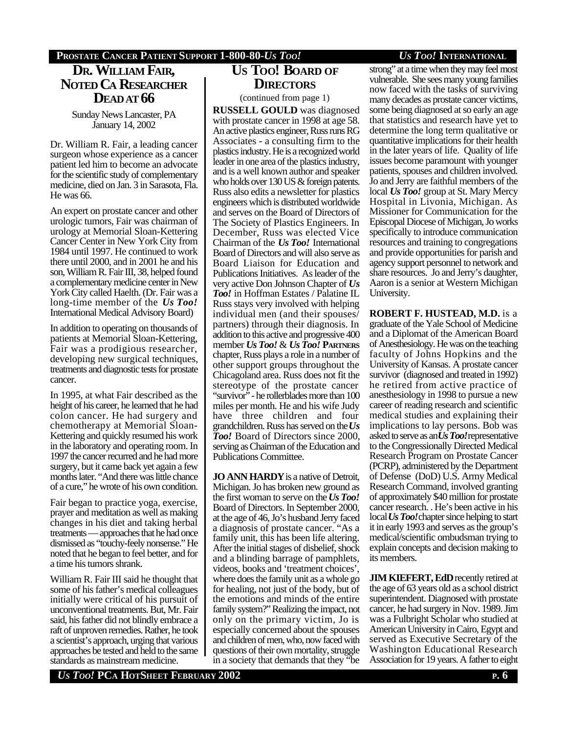### **DR. WILLIAM FAIR, NOTED CA RESEARCHER DEADAT 66**

Sunday News Lancaster, PA January 14, 2002

Dr. William R. Fair, a leading cancer surgeon whose experience as a cancer patient led him to become an advocate for the scientific study of complementary medicine, died on Jan. 3 in Sarasota, Fla. He was 66.

An expert on prostate cancer and other urologic tumors, Fair was chairman of urology at Memorial Sloan-Kettering Cancer Center in New York City from 1984 until 1997. He continued to work there until 2000, and in 2001 he and his son, William R. Fair III, 38, helped found a complementary medicine center in New York City called Haelth. (Dr. Fair was a long-time member of the *Us Too!* International Medical Advisory Board)

In addition to operating on thousands of patients at Memorial Sloan-Kettering, Fair was a prodigious researcher, developing new surgical techniques, treatments and diagnostic tests for prostate cancer.

In 1995, at what Fair described as the height of his career, he learned that he had colon cancer. He had surgery and chemotherapy at Memorial Sloan-Kettering and quickly resumed his work in the laboratory and operating room. In 1997 the cancer recurred and he had more surgery, but it came back yet again a few months later. "And there was little chance of a cure," he wrote of his own condition.

Fair began to practice yoga, exercise, prayer and meditation as well as making changes in his diet and taking herbal treatments — approaches that he had once dismissed as "touchy-feely nonsense." He noted that he began to feel better, and for a time his tumors shrank.

William R. Fair III said he thought that some of his father's medical colleagues initially were critical of his pursuit of unconventional treatments. But, Mr. Fair said, his father did not blindly embrace a raft of unproven remedies. Rather, he took a scientist's approach, urging that various approaches be tested and held to the same standards as mainstream medicine.

# **US TOO! BOARD OF DIRECTORS**

(continued from page 1)

**RUSSELL GOULD** was diagnosed with prostate cancer in 1998 at age 58. An active plastics engineer, Russ runs RG Associates - a consulting firm to the plastics industry. He is a recognized world leader in one area of the plastics industry, and is a well known author and speaker who holds over 130 US & foreign patents. Russ also edits a newsletter for plastics engineers which is distributed worldwide and serves on the Board of Directors of The Society of Plastics Engineers. In December, Russ was elected Vice Chairman of the *Us Too!* International Board of Directors and will also serve as Board Liaison for Education and Publications Initiatives. As leader of the very active Don Johnson Chapter of *Us Too!* in Hoffman Estates / Palatine IL Russ stays very involved with helping individual men (and their spouses/ partners) through their diagnosis. In addition to this active and progressive 400 member *Us Too!* & *Us Too!* **PARTNERS** chapter, Russ plays a role in a number of other support groups throughout the Chicagoland area. Russ does not fit the stereotype of the prostate cancer "survivor" - he rollerblades more than 100 miles per month. He and his wife Judy have three children and four grandchildren. Russ has served on the *Us Too!* Board of Directors since 2000, serving as Chairman of the Education and Publications Committee.

**JO ANN HARDY** is a native of Detroit, Michigan. Jo has broken new ground as the first woman to serve on the *Us Too!* Board of Directors. In September 2000, at the age of 46, Jo's husband Jerry faced a diagnosis of prostate cancer. "As a family unit, this has been life altering. After the initial stages of disbelief, shock and a blinding barrage of pamphlets, videos, books and 'treatment choices', where does the family unit as a whole go for healing, not just of the body, but of the emotions and minds of the entire family system?" Realizing the impact, not only on the primary victim, Jo is especially concerned about the spouses and children of men, who, now faced with questions of their own mortality, struggle in a society that demands that they "be

strong" at a time when they may feel most vulnerable. She sees many young families now faced with the tasks of surviving many decades as prostate cancer victims, some being diagnosed at so early an age that statistics and research have yet to determine the long term qualitative or quantitative implications for their health in the later years of life. Quality of life issues become paramount with younger patients, spouses and children involved. Jo and Jerry are faithful members of the local *Us Too!* group at St. Mary Mercy Hospital in Livonia, Michigan. As Missioner for Communication for the Episcopal Diocese of Michigan, Jo works specifically to introduce communication resources and training to congregations and provide opportunities for parish and agency support personnel to network and share resources. Jo and Jerry's daughter, Aaron is a senior at Western Michigan

**ROBERT F. HUSTEAD, M.D.** is a graduate of the Yale School of Medicine and a Diplomat of the American Board of Anesthesiology. He was on the teaching faculty of Johns Hopkins and the University of Kansas. A prostate cancer survivor (diagnosed and treated in 1992) he retired from active practice of anesthesiology in 1998 to pursue a new career of reading research and scientific medical studies and explaining their implications to lay persons. Bob was asked to serve as an *Us Too!* representative to the Congressionally Directed Medical Research Program on Prostate Cancer (PCRP), administered by the Department of Defense (DoD) U.S. Army Medical Research Command, involved granting of approximately \$40 million for prostate cancer research. . He's been active in his local *Us Too!* chapter since helping to start it in early 1993 and serves as the group's medical/scientific ombudsman trying to explain concepts and decision making to its members.

University.

**JIM KIEFERT, EdD** recently retired at the age of 63 years old as a school district superintendent. Diagnosed with prostate cancer, he had surgery in Nov. 1989. Jim was a Fulbright Scholar who studied at American University in Cairo, Egypt and served as Executive Secretary of the Washington Educational Research Association for 19 years. A father to eight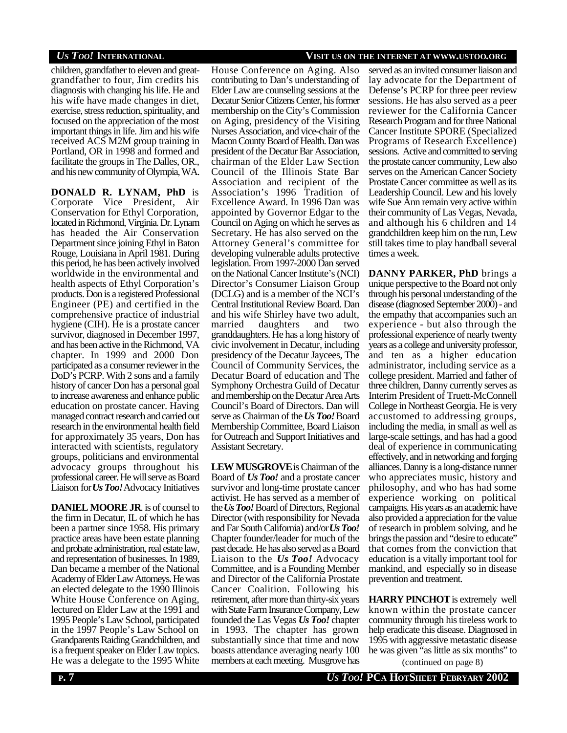children, grandfather to eleven and greatgrandfather to four, Jim credits his diagnosis with changing his life. He and his wife have made changes in diet, exercise, stress reduction, spirituality, and focused on the appreciation of the most important things in life. Jim and his wife received ACS M2M group training in Portland, OR in 1998 and formed and facilitate the groups in The Dalles, OR., and his new community of Olympia, WA.

**DONALD R. LYNAM, PhD** is Corporate Vice President, Air Conservation for Ethyl Corporation, located in Richmond, Virginia. Dr. Lynam has headed the Air Conservation Department since joining Ethyl in Baton Rouge, Louisiana in April 1981. During this period, he has been actively involved worldwide in the environmental and health aspects of Ethyl Corporation's products. Don is a registered Professional Engineer (PE) and certified in the comprehensive practice of industrial hygiene (CIH). He is a prostate cancer survivor, diagnosed in December 1997, and has been active in the Richmond, VA chapter. In 1999 and 2000 Don participated as a consumer reviewer in the DoD's PCRP. With 2 sons and a family history of cancer Don has a personal goal to increase awareness and enhance public education on prostate cancer. Having managed contract research and carried out research in the environmental health field for approximately 35 years, Don has interacted with scientists, regulatory groups, politicians and environmental advocacy groups throughout his professional career. He will serve as Board Liaison for *Us Too!* Advocacy Initiatives

**DANIEL MOORE JR**. is of counsel to the firm in Decatur, IL of which he has been a partner since 1958. His primary practice areas have been estate planning and probate administration, real estate law, and representation of businesses. In 1989, Dan became a member of the National Academy of Elder Law Attorneys. He was an elected delegate to the 1990 Illinois White House Conference on Aging, lectured on Elder Law at the 1991 and 1995 People's Law School, participated in the 1997 People's Law School on Grandparents Raiding Grandchildren, and is a frequent speaker on Elder Law topics. House Conference on Aging. Also contributing to Dan's understanding of Elder Law are counseling sessions at the Decatur Senior Citizens Center, his former membership on the City's Commission on Aging, presidency of the Visiting Nurses Association, and vice-chair of the Macon County Board of Health. Dan was president of the Decatur Bar Association, chairman of the Elder Law Section Council of the Illinois State Bar Association and recipient of the Association's 1996 Tradition of Excellence Award. In 1996 Dan was appointed by Governor Edgar to the Council on Aging on which he serves as Secretary. He has also served on the Attorney General's committee for developing vulnerable adults protective legislation. From 1997-2000 Dan served on the National Cancer Institute's (NCI) Director's Consumer Liaison Group (DCLG) and is a member of the NCI's Central Institutional Review Board. Dan and his wife Shirley have two adult, married daughters and two granddaughters. He has a long history of civic involvement in Decatur, including presidency of the Decatur Jaycees, The Council of Community Services, the Decatur Board of education and The Symphony Orchestra Guild of Decatur and membership on the Decatur Area Arts Council's Board of Directors. Dan will serve as Chairman of the *Us Too!* Board Membership Committee, Board Liaison for Outreach and Support Initiatives and Assistant Secretary.

**LEW MUSGROVE** is Chairman of the Board of *Us Too!* and a prostate cancer survivor and long-time prostate cancer activist. He has served as a member of the *Us Too!* Board of Directors, Regional Director (with responsibility for Nevada and Far South California) and/or *Us Too!* Chapter founder/leader for much of the past decade. He has also served as a Board Liaison to the *Us Too!* Advocacy Committee, and is a Founding Member and Director of the California Prostate Cancer Coalition. Following his retirement, after more than thirty-six years with State Farm Insurance Company, Lew founded the Las Vegas *Us Too!* chapter in 1993. The chapter has grown substantially since that time and now boasts attendance averaging nearly 100 He was a delegate to the 1995 White members at each meeting. Musgrove has (continued on page 8)

### *US TOO!* **INTERNATIONAL VISIT US ON THE INTERNET AT WWW.USTOO.ORG**

served as an invited consumer liaison and lay advocate for the Department of Defense's PCRP for three peer review sessions. He has also served as a peer reviewer for the California Cancer Research Program and for three National Cancer Institute SPORE (Specialized Programs of Research Excellence) sessions. Active and committed to serving the prostate cancer community, Lew also serves on the American Cancer Society Prostate Cancer committee as well as its Leadership Council. Lew and his lovely wife Sue Ann remain very active within their community of Las Vegas, Nevada, and although his 6 children and 14 grandchildren keep him on the run, Lew still takes time to play handball several times a week.

**DANNY PARKER, PhD** brings a unique perspective to the Board not only through his personal understanding of the disease (diagnosed September 2000) - and the empathy that accompanies such an experience - but also through the professional experience of nearly twenty years as a college and university professor, and ten as a higher education administrator, including service as a college president. Married and father of three children, Danny currently serves as Interim President of Truett-McConnell College in Northeast Georgia. He is very accustomed to addressing groups, including the media, in small as well as large-scale settings, and has had a good deal of experience in communicating effectively, and in networking and forging alliances. Danny is a long-distance runner who appreciates music, history and philosophy, and who has had some experience working on political campaigns. His years as an academic have also provided a appreciation for the value of research in problem solving, and he brings the passion and "desire to educate" that comes from the conviction that education is a vitally important tool for mankind, and especially so in disease prevention and treatment.

**HARRY PINCHOT** is extremely well known within the prostate cancer community through his tireless work to help eradicate this disease. Diagnosed in 1995 with aggressive metastatic disease he was given "as little as six months" to